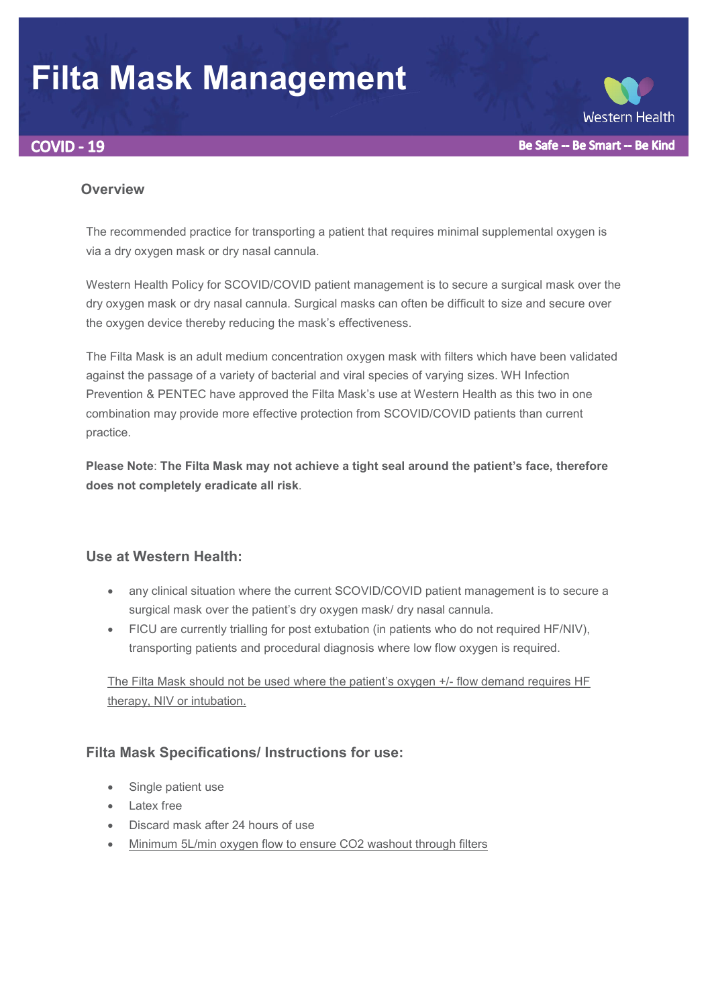# **Filta Mask Management**





#### **Overview**

The recommended practice for transporting a patient that requires minimal supplemental oxygen is via a dry oxygen mask or dry nasal cannula.

Western Health Policy for SCOVID/COVID patient management is to secure a surgical mask over the dry oxygen mask or dry nasal cannula. Surgical masks can often be difficult to size and secure over the oxygen device thereby reducing the mask's effectiveness.

The Filta Mask is an adult medium concentration oxygen mask with filters which have been validated against the passage of a variety of bacterial and viral species of varying sizes. WH Infection Prevention & PENTEC have approved the Filta Mask's use at Western Health as this two in one combination may provide more effective protection from SCOVID/COVID patients than current practice.

**Please Note**: **The Filta Mask may not achieve a tight seal around the patient's face, therefore does not completely eradicate all risk**.

## **Use at Western Health:**

- any clinical situation where the current SCOVID/COVID patient management is to secure a surgical mask over the patient's dry oxygen mask/ dry nasal cannula.
- FICU are currently trialling for post extubation (in patients who do not required HF/NIV), transporting patients and procedural diagnosis where low flow oxygen is required.

The Filta Mask should not be used where the patient's oxygen +/- flow demand requires HF therapy, NIV or intubation.

## **Filta Mask Specifications/ Instructions for use:**

- Single patient use
- **Latex free**
- Discard mask after 24 hours of use
- Minimum 5L/min oxygen flow to ensure CO2 washout through filters